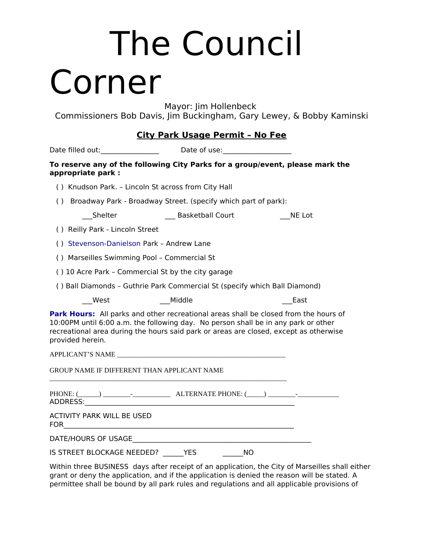### The Council Corner

Mayor: Jim Hollenbeck

Commissioners Bob Davis, Jim Buckingham, Gary Lewey, & Bobby Kaminski

#### **City Park Usage Permit – No Fee**

|                                             | Date filled out:___________________________Date of use:_________________________                                                                                                                                                                                    |        |
|---------------------------------------------|---------------------------------------------------------------------------------------------------------------------------------------------------------------------------------------------------------------------------------------------------------------------|--------|
| appropriate park:                           | To reserve any of the following City Parks for a group/event, please mark the                                                                                                                                                                                       |        |
|                                             | () Knudson Park. - Lincoln St across from City Hall                                                                                                                                                                                                                 |        |
|                                             | () Broadway Park - Broadway Street. (specify which part of park):                                                                                                                                                                                                   |        |
| Shelter                                     | <b>Example 3 Disk Basketball Court</b>                                                                                                                                                                                                                              | NE Lot |
| () Reilly Park - Lincoln Street             |                                                                                                                                                                                                                                                                     |        |
| () Stevenson-Danielson Park - Andrew Lane   |                                                                                                                                                                                                                                                                     |        |
| () Marseilles Swimming Pool - Commercial St |                                                                                                                                                                                                                                                                     |        |
|                                             | () 10 Acre Park - Commercial St by the city garage                                                                                                                                                                                                                  |        |
|                                             | () Ball Diamonds - Guthrie Park Commercial St (specify which Ball Diamond)                                                                                                                                                                                          |        |
| West                                        | Middle                                                                                                                                                                                                                                                              | East   |
| provided herein.                            | Park Hours: All parks and other recreational areas shall be closed from the hours of<br>10:00PM until 6:00 a.m. the following day. No person shall be in any park or other<br>recreational area during the hours said park or areas are closed, except as otherwise |        |
|                                             |                                                                                                                                                                                                                                                                     |        |
| GROUP NAME IF DIFFERENT THAN APPLICANT NAME |                                                                                                                                                                                                                                                                     |        |
|                                             |                                                                                                                                                                                                                                                                     |        |
| ACTIVITY PARK WILL BE USED                  |                                                                                                                                                                                                                                                                     |        |
|                                             | DATE/HOURS OF USAGE AND THE SERVICE OF THE STATE OF THE STATE OF THE STATE OF THE STATE OF THE STATE OF THE ST                                                                                                                                                      |        |
| IS STREET BLOCKAGE NEEDED? YES              | NO.                                                                                                                                                                                                                                                                 |        |

Within three BUSINESS days after receipt of an application, the City of Marseilles shall either grant or deny the application, and if the application is denied the reason will be stated. A permittee shall be bound by all park rules and regulations and all applicable provisions of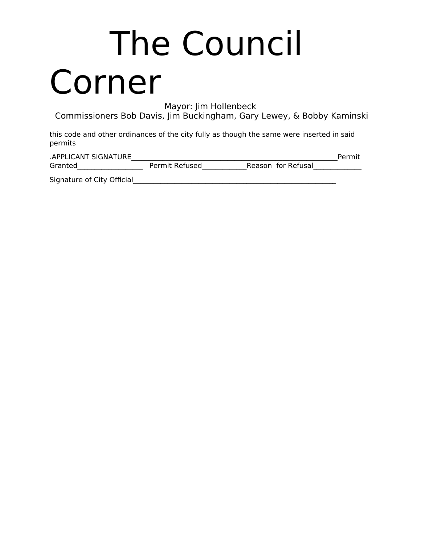### The Council Corner

Mayor: Jim Hollenbeck

Commissioners Bob Davis, Jim Buckingham, Gary Lewey, & Bobby Kaminski

this code and other ordinances of the city fully as though the same were inserted in said permits

| .APPLICANT SIGNATURE       |                |                    | Permit |
|----------------------------|----------------|--------------------|--------|
| Granted                    | Permit Refused | Reason for Refusal |        |
| Signature of City Official |                |                    |        |